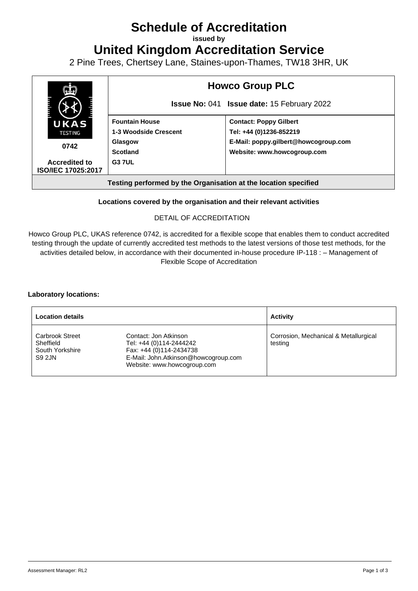# **Schedule of Accreditation**

**issued by**

**United Kingdom Accreditation Service**

2 Pine Trees, Chertsey Lane, Staines-upon-Thames, TW18 3HR, UK



### **Locations covered by the organisation and their relevant activities**

#### DETAIL OF ACCREDITATION

Howco Group PLC, UKAS reference 0742, is accredited for a flexible scope that enables them to conduct accredited testing through the update of currently accredited test methods to the latest versions of those test methods, for the activities detailed below, in accordance with their documented in-house procedure IP-118 : – Management of Flexible Scope of Accreditation

#### **Laboratory locations:**

| <b>Location details</b>                                          |                                                                                                                                                    | <b>Activity</b>                                  |
|------------------------------------------------------------------|----------------------------------------------------------------------------------------------------------------------------------------------------|--------------------------------------------------|
| <b>Carbrook Street</b><br>Sheffield<br>South Yorkshire<br>S9 2JN | Contact: Jon Atkinson<br>Tel: +44 (0)114-2444242<br>Fax: +44 (0)114-2434738<br>E-Mail: John.Atkinson@howcogroup.com<br>Website: www.howcogroup.com | Corrosion, Mechanical & Metallurgical<br>testing |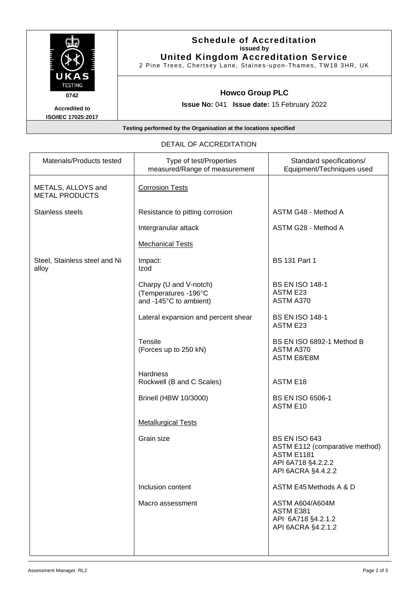| UKAS<br><b>TESTING</b><br>0742<br><b>Accredited to</b><br><b>ISO/IEC 17025:2017</b> | <b>Schedule of Accreditation</b><br>issued by<br><b>United Kingdom Accreditation Service</b><br>2 Pine Trees, Chertsey Lane, Staines-upon-Thames, TW18 3HR, UK |  |
|-------------------------------------------------------------------------------------|----------------------------------------------------------------------------------------------------------------------------------------------------------------|--|
|                                                                                     | <b>Howco Group PLC</b><br><b>Issue No: 041 Issue date: 15 February 2022</b>                                                                                    |  |
| Testing performed by the Organisation at the locations specified                    |                                                                                                                                                                |  |

| Materials/Products tested                   | Type of test/Properties<br>measured/Range of measurement                 | Standard specifications/<br>Equipment/Techniques used                                                                   |
|---------------------------------------------|--------------------------------------------------------------------------|-------------------------------------------------------------------------------------------------------------------------|
| METALS, ALLOYS and<br><b>METAL PRODUCTS</b> | <b>Corrosion Tests</b>                                                   |                                                                                                                         |
| Stainless steels                            | Resistance to pitting corrosion                                          | ASTM G48 - Method A                                                                                                     |
|                                             | Intergranular attack                                                     | ASTM G28 - Method A                                                                                                     |
|                                             | <b>Mechanical Tests</b>                                                  |                                                                                                                         |
| Steel, Stainless steel and Ni<br>alloy      | Impact:<br>Izod                                                          | <b>BS 131 Part 1</b>                                                                                                    |
|                                             | Charpy (U and V-notch)<br>(Temperatures -196°C<br>and -145°C to ambient) | <b>BS EN ISO 148-1</b><br><b>ASTM E23</b><br>ASTM A370                                                                  |
|                                             | Lateral expansion and percent shear                                      | <b>BS EN ISO 148-1</b><br>ASTM E23                                                                                      |
|                                             | Tensile<br>(Forces up to 250 kN)                                         | BS EN ISO 6892-1 Method B<br>ASTM A370<br><b>ASTM E8/E8M</b>                                                            |
|                                             | <b>Hardness</b><br>Rockwell (B and C Scales)                             | <b>ASTM E18</b>                                                                                                         |
|                                             | <b>Brinell (HBW 10/3000)</b>                                             | <b>BS EN ISO 6506-1</b><br>ASTM E10                                                                                     |
|                                             | <b>Metallurgical Tests</b>                                               |                                                                                                                         |
|                                             | Grain size                                                               | <b>BS EN ISO 643</b><br>ASTM E112 (comparative method)<br><b>ASTM E1181</b><br>API 6A718 §4.2.2.2<br>API 6ACRA §4.4.2.2 |
|                                             | Inclusion content                                                        | ASTM E45 Methods A & D                                                                                                  |
|                                             | Macro assessment                                                         | <b>ASTM A604/A604M</b><br>ASTM E381<br>API 6A718 §4.2.1.2<br>API 6ACRA §4.2.1.2                                         |
|                                             |                                                                          |                                                                                                                         |

## DETAIL OF ACCREDITATION